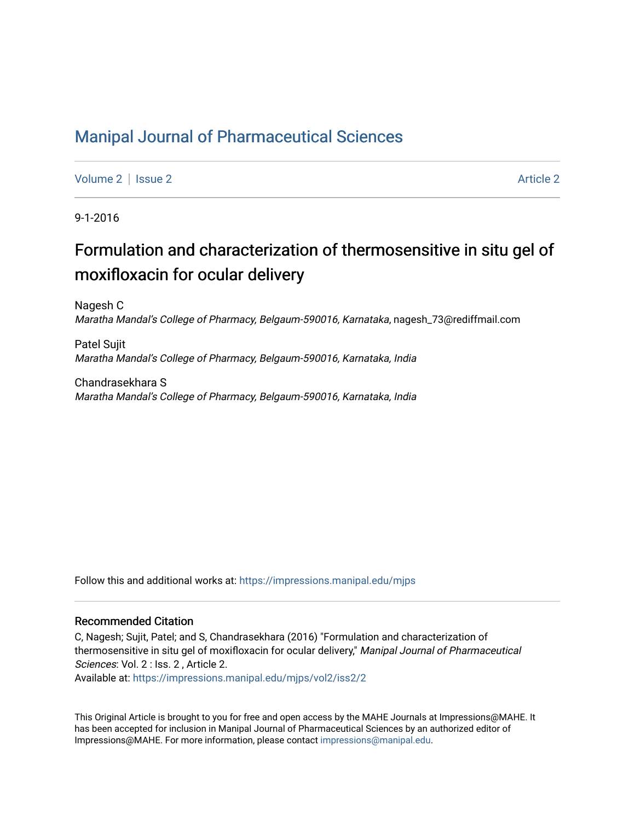# [Manipal Journal of Pharmaceutical Sciences](https://impressions.manipal.edu/mjps)

[Volume 2](https://impressions.manipal.edu/mjps/vol2) | [Issue 2](https://impressions.manipal.edu/mjps/vol2/iss2) Article 2

9-1-2016

# Formulation and characterization of thermosensitive in situ gel of moxifloxacin for ocular delivery

Nagesh C Maratha Mandal's College of Pharmacy, Belgaum-590016, Karnataka, nagesh\_73@rediffmail.com

Patel Sujit Maratha Mandal's College of Pharmacy, Belgaum-590016, Karnataka, India

Chandrasekhara S Maratha Mandal's College of Pharmacy, Belgaum-590016, Karnataka, India

Follow this and additional works at: [https://impressions.manipal.edu/mjps](https://impressions.manipal.edu/mjps?utm_source=impressions.manipal.edu%2Fmjps%2Fvol2%2Fiss2%2F2&utm_medium=PDF&utm_campaign=PDFCoverPages)

#### Recommended Citation

C, Nagesh; Sujit, Patel; and S, Chandrasekhara (2016) "Formulation and characterization of thermosensitive in situ gel of moxifloxacin for ocular delivery," Manipal Journal of Pharmaceutical Sciences: Vol. 2 : Iss. 2 , Article 2.

Available at: [https://impressions.manipal.edu/mjps/vol2/iss2/2](https://impressions.manipal.edu/mjps/vol2/iss2/2?utm_source=impressions.manipal.edu%2Fmjps%2Fvol2%2Fiss2%2F2&utm_medium=PDF&utm_campaign=PDFCoverPages)

This Original Article is brought to you for free and open access by the MAHE Journals at Impressions@MAHE. It has been accepted for inclusion in Manipal Journal of Pharmaceutical Sciences by an authorized editor of Impressions@MAHE. For more information, please contact [impressions@manipal.edu](mailto:impressions@manipal.edu).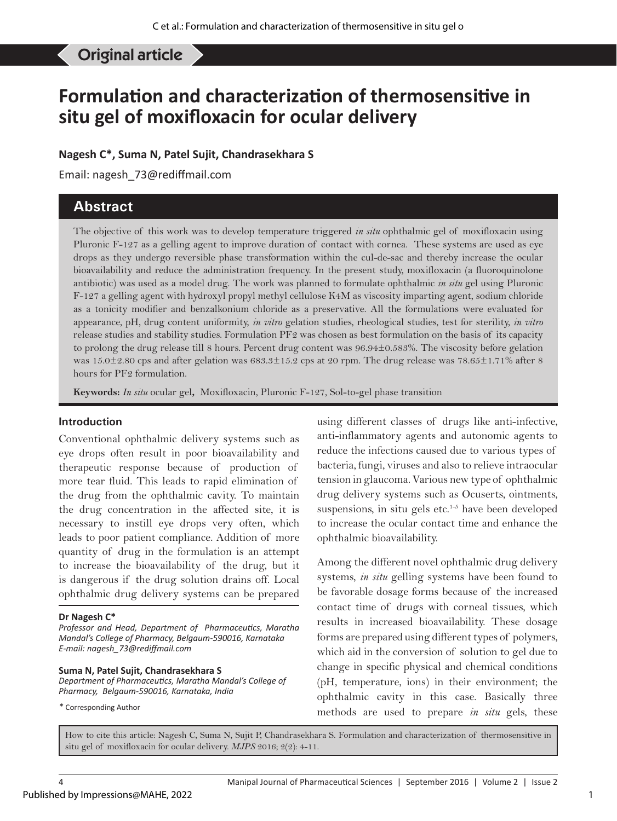#### Nagesh C, et al: Formulation and characterization of thermosensitive Original article

# **Formulation and characterization of thermosensitive in situ gel of moxifloxacin for ocular delivery**

**Nagesh C\*, Suma N, Patel Sujit, Chandrasekhara S**

Email: nagesh\_73@rediffmail.com

# **Abstract**

The objective of this work was to develop temperature triggered *in situ* ophthalmic gel of moxifloxacin using Pluronic F-127 as a gelling agent to improve duration of contact with cornea. These systems are used as eye drops as they undergo reversible phase transformation within the cul-de-sac and thereby increase the ocular bioavailability and reduce the administration frequency. In the present study, moxifloxacin (a fluoroquinolone antibiotic) was used as a model drug. The work was planned to formulate ophthalmic *in situ* gel using Pluronic F-127 a gelling agent with hydroxyl propyl methyl cellulose K4M as viscosity imparting agent, sodium chloride as a tonicity modifier and benzalkonium chloride as a preservative. All the formulations were evaluated for appearance, pH, drug content uniformity, *in vitro* gelation studies, rheological studies, test for sterility, *in vitro*  release studies and stability studies. Formulation PF2 was chosen as best formulation on the basis of its capacity to prolong the drug release till 8 hours. Percent drug content was 96.94±0.583%. The viscosity before gelation was  $15.0\pm 2.80$  cps and after gelation was  $683.3\pm 15.2$  cps at 20 rpm. The drug release was  $78.65\pm 1.71\%$  after 8 hours for PF2 formulation.

**Keywords:** *In situ* ocular gel**,** Moxifloxacin, Pluronic F-127, Sol-to-gel phase transition

#### **Introduction**

Conventional ophthalmic delivery systems such as eye drops often result in poor bioavailability and therapeutic response because of production of more tear fluid. This leads to rapid elimination of the drug from the ophthalmic cavity. To maintain the drug concentration in the affected site, it is necessary to instill eye drops very often, which leads to poor patient compliance. Addition of more quantity of drug in the formulation is an attempt to increase the bioavailability of the drug, but it is dangerous if the drug solution drains off. Local ophthalmic drug delivery systems can be prepared

#### **Dr Nagesh C\***

*Professor and Head, Department of Pharmaceutics, Maratha Mandal's College of Pharmacy, Belgaum-590016, Karnataka E-mail: nagesh\_73@rediffmail.com*

#### **Suma N, Patel Sujit, Chandrasekhara S**

*Department of Pharmaceutics, Maratha Mandal's College of Pharmacy, Belgaum-590016, Karnataka, India*

*\** Corresponding Author

using different classes of drugs like anti-infective, anti-inflammatory agents and autonomic agents to reduce the infections caused due to various types of bacteria, fungi, viruses and also to relieve intraocular tension in glaucoma. Various new type of ophthalmic drug delivery systems such as Ocuserts, ointments, suspensions, in situ gels etc.<sup>1-5</sup> have been developed to increase the ocular contact time and enhance the ophthalmic bioavailability.

Among the different novel ophthalmic drug delivery systems, *in situ* gelling systems have been found to be favorable dosage forms because of the increased contact time of drugs with corneal tissues, which results in increased bioavailability. These dosage forms are prepared using different types of polymers, which aid in the conversion of solution to gel due to change in specific physical and chemical conditions (pH, temperature, ions) in their environment; the ophthalmic cavity in this case. Basically three methods are used to prepare *in situ* gels, these

How to cite this article: Nagesh C, Suma N, Sujit P, Chandrasekhara S. Formulation and characterization of thermosensitive in situ gel of moxifloxacin for ocular delivery. *MJPS* 2016; 2(2): 4-11.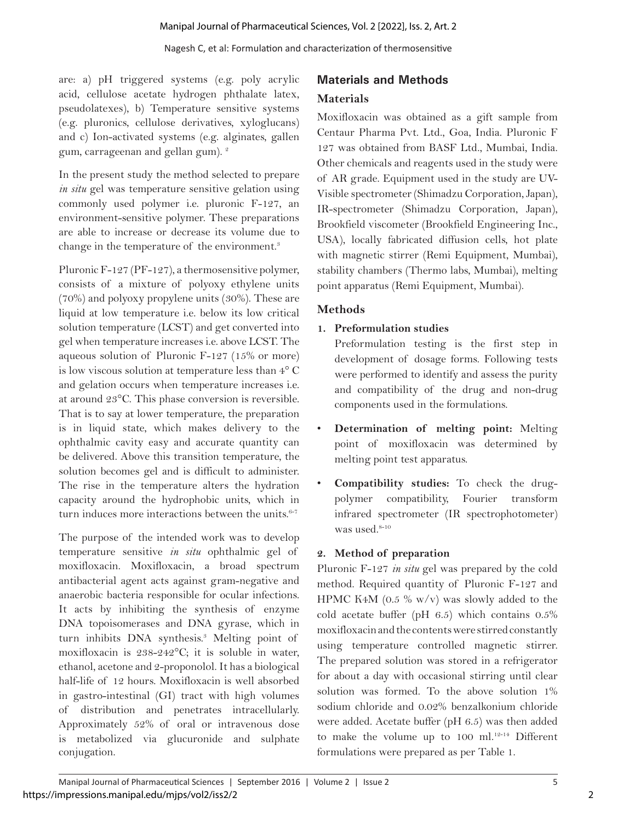are: a) pH triggered systems (e.g. poly acrylic acid, cellulose acetate hydrogen phthalate latex, pseudolatexes), b) Temperature sensitive systems (e.g. pluronics, cellulose derivatives, xyloglucans) and c) Ion-activated systems (e.g. alginates, gallen gum, carrageenan and gellan gum).<sup>2</sup>

In the present study the method selected to prepare *in situ* gel was temperature sensitive gelation using commonly used polymer i.e. pluronic F-127, an environment-sensitive polymer. These preparations are able to increase or decrease its volume due to change in the temperature of the environment.<sup>3</sup>

Pluronic F-127 (PF-127), a thermosensitive polymer, consists of a mixture of polyoxy ethylene units (70%) and polyoxy propylene units (30%). These are liquid at low temperature i.e. below its low critical solution temperature (LCST) and get converted into gel when temperature increases i.e. above LCST. The aqueous solution of Pluronic F-127 (15% or more) is low viscous solution at temperature less than 4° C and gelation occurs when temperature increases i.e. at around 23°C. This phase conversion is reversible. That is to say at lower temperature, the preparation is in liquid state, which makes delivery to the ophthalmic cavity easy and accurate quantity can be delivered. Above this transition temperature, the solution becomes gel and is difficult to administer. The rise in the temperature alters the hydration capacity around the hydrophobic units, which in turn induces more interactions between the units.<sup>6-7</sup>

The purpose of the intended work was to develop temperature sensitive *in situ* ophthalmic gel of moxifloxacin. Moxifloxacin, a broad spectrum antibacterial agent acts against gram-negative and anaerobic bacteria responsible for ocular infections. It acts by inhibiting the synthesis of enzyme DNA topoisomerases and DNA gyrase, which in turn inhibits DNA synthesis.3 Melting point of moxifloxacin is 238-242°C; it is soluble in water, ethanol, acetone and 2-proponolol. It has a biological half-life of 12 hours. Moxifloxacin is well absorbed in gastro-intestinal (GI) tract with high volumes of distribution and penetrates intracellularly. Approximately 52% of oral or intravenous dose is metabolized via glucuronide and sulphate conjugation.

# **Materials and Methods Materials**

Moxifloxacin was obtained as a gift sample from Centaur Pharma Pvt. Ltd., Goa, India. Pluronic F 127 was obtained from BASF Ltd., Mumbai, India. Other chemicals and reagents used in the study were of AR grade. Equipment used in the study are UV-Visible spectrometer (Shimadzu Corporation, Japan), IR-spectrometer (Shimadzu Corporation, Japan), Brookfield viscometer (Brookfield Engineering Inc., USA), locally fabricated diffusion cells, hot plate with magnetic stirrer (Remi Equipment, Mumbai), stability chambers (Thermo labs, Mumbai), melting point apparatus (Remi Equipment, Mumbai).

# **Methods**

### **1. Preformulation studies**

Preformulation testing is the first step in development of dosage forms. Following tests were performed to identify and assess the purity and compatibility of the drug and non-drug components used in the formulations.

- **Determination of melting point:** Melting point of moxifloxacin was determined by melting point test apparatus.
- **Compatibility studies:** To check the drugpolymer compatibility, Fourier transform infrared spectrometer (IR spectrophotometer) was used.<sup>8-10</sup>

# **2. Method of preparation**

Pluronic F-127 *in situ* gel was prepared by the cold method. Required quantity of Pluronic F-127 and HPMC K4M (0.5 % w/v) was slowly added to the cold acetate buffer (pH 6.5) which contains 0.5% moxifloxacin and the contents were stirred constantly using temperature controlled magnetic stirrer. The prepared solution was stored in a refrigerator for about a day with occasional stirring until clear solution was formed. To the above solution 1% sodium chloride and 0.02% benzalkonium chloride were added. Acetate buffer (pH 6.5) was then added to make the volume up to 100 ml.<sup>12-14</sup> Different formulations were prepared as per Table 1.

2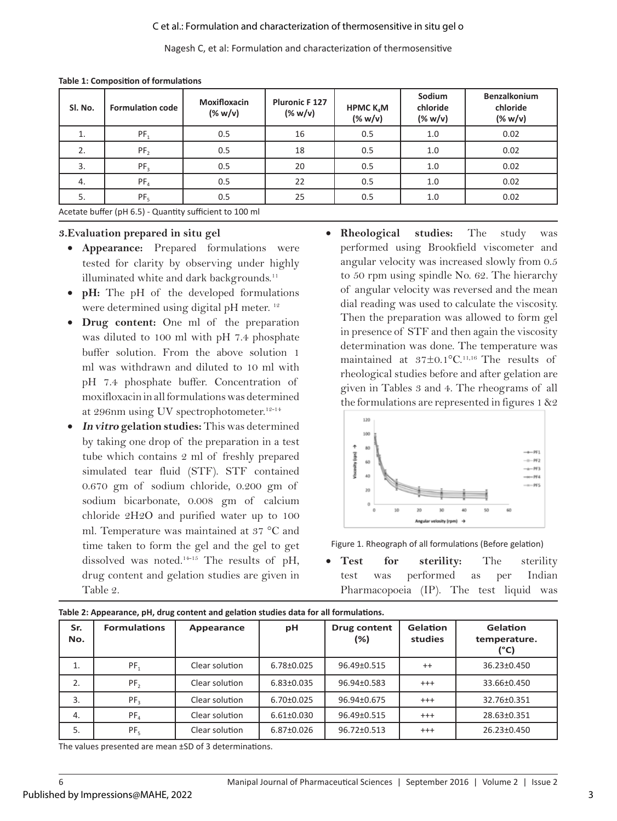#### C et al.: Formulation and characterization of thermosensitive in situ gel o

Nagesh C, et al: Formulation and characterization of thermosensitive

| SI. No. | <b>Formulation code</b> | <b>Moxifloxacin</b><br>$(%$ (% w/v)                 | <b>Pluronic F 127</b><br>(% | HPMC $K_{a}M$<br>$(\% w/v)$ | <b>Sodium</b><br>chloride<br>(% | <b>Benzalkonium</b><br>chloride<br>(% |
|---------|-------------------------|-----------------------------------------------------|-----------------------------|-----------------------------|---------------------------------|---------------------------------------|
| 1.      | PF <sub>1</sub>         | 0.5                                                 | 16                          | 0.5                         | 1.0                             | 0.02                                  |
| 2.      | PF <sub>2</sub>         | 0.5                                                 | 18                          | 0.5                         | 1.0                             | 0.02                                  |
| 3.      | PF <sub>3</sub>         | 0.5                                                 | 20                          | 0.5                         | 1.0                             | 0.02                                  |
| 4.      | PF <sub>4</sub>         | 0.5                                                 | 22                          | 0.5                         | 1.0                             | 0.02                                  |
| 5.      | PF <sub>5</sub>         | 0.5                                                 | 25                          | 0.5                         | 1.0                             | 0.02                                  |
|         |                         | Apotato buffer (pHCF) Quantity sufficient to 100 ml |                             |                             |                                 |                                       |

#### **Table 1: Composition of formulations**

Acetate buffer (pH 6.5) - Quantity sufficient to 100 ml

#### **3.Evaluation prepared in situ gel**

- • **Appearance:** Prepared formulations were tested for clarity by observing under highly illuminated white and dark backgrounds.<sup>11</sup>
- • **pH:** The pH of the developed formulations were determined using digital pH meter.<sup>12</sup>
- • **Drug content:** One ml of the preparation was diluted to 100 ml with pH 7.4 phosphate buffer solution. From the above solution 1 ml was withdrawn and diluted to 10 ml with pH 7.4 phosphate buffer. Concentration of moxifloxacin in all formulations was determined at 296nm using UV spectrophotometer.<sup>12-14</sup>
- **In vitro gelation studies:** This was determined by taking one drop of the preparation in a test tube which contains 2 ml of freshly prepared simulated tear fluid (STF). STF contained 0.670 gm of sodium chloride, 0.200 gm of sodium bicarbonate, 0.008 gm of calcium chloride 2H2O and purified water up to 100 ml. Temperature was maintained at 37 °C and time taken to form the gel and the gel to get dissolved was noted.14-15 The results of pH, drug content and gelation studies are given in Table 2.
- • **Rheological studies:** The study was performed using Brookfield viscometer and angular velocity was increased slowly from 0.5 to 50 rpm using spindle No. 62. The hierarchy of angular velocity was reversed and the mean dial reading was used to calculate the viscosity. Then the preparation was allowed to form gel in presence of STF and then again the viscosity determination was done. The temperature was maintained at 37±0.1°C.11,16 The results of rheological studies before and after gelation are given in Tables 3 and 4. The rheograms of all the formulations are represented in figures  $1 \& 2$



Figure 1. Rheograph of all formulations (Before gelation)

**Test for sterility:** The sterility test was performed as per Indian Pharmacopoeia (IP). The test liquid was

| Sr.<br>No. | <b>Formulations</b> | Appearance     | рH               | <b>Drug content</b><br>$(\%)$ | <b>Gelation</b><br>studies | <b>Gelation</b><br>temperature.<br>(°C) |
|------------|---------------------|----------------|------------------|-------------------------------|----------------------------|-----------------------------------------|
| 1.         | $PF_1$              | Clear solution | $6.78 \pm 0.025$ | 96.49±0.515                   | $^{++}$                    | 36.23±0.450                             |
| 2.         | PF <sub>2</sub>     | Clear solution | $6.83 \pm 0.035$ | 96.94±0.583                   | $^{+++}$                   | 33.66±0.450                             |
| 3.         | PF <sub>3</sub>     | Clear solution | $6.70 \pm 0.025$ | 96.94±0.675                   | $^{+++}$                   | 32.76±0.351                             |
| 4.         | PF <sub>4</sub>     | Clear solution | $6.61 \pm 0.030$ | 96.49±0.515                   | $^{+++}$                   | 28.63±0.351                             |
| 5.         | $PF_{5}$            | Clear solution | 6.87±0.026       | 96.72±0.513                   | $^{+++}$                   | 26.23±0.450                             |

**Table 2: Appearance, pH, drug content and gelation studies data for all formulations.**

The values presented are mean ±SD of 3 determinations.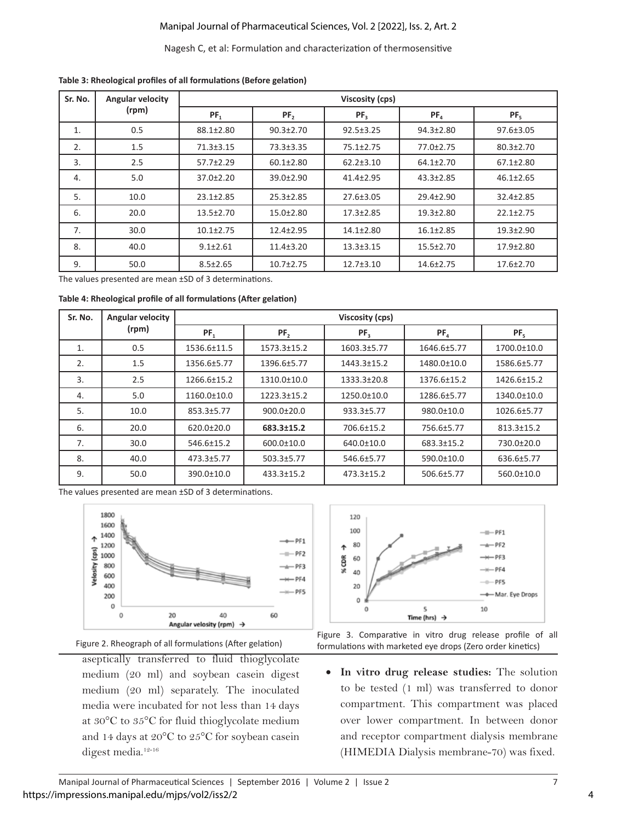#### Manipal Journal of Pharmaceutical Sciences, Vol. 2 [2022], Iss. 2, Art. 2

#### Nagesh C, et al: Formulation and characterization of thermosensitive

| Sr. No. | <b>Angular velocity</b> |                 |                 |                 |                 |                 |
|---------|-------------------------|-----------------|-----------------|-----------------|-----------------|-----------------|
|         | (rpm)                   | $PF_1$          | PF <sub>2</sub> | PF <sub>3</sub> | $PF_a$          | PF <sub>5</sub> |
| 1.      | 0.5                     | 88.1±2.80       | $90.3 \pm 2.70$ | $92.5 \pm 3.25$ | 94.3±2.80       | 97.6±3.05       |
| 2.      | 1.5                     | 71.3±3.15       | 73.3±3.35       | 75.1±2.75       | 77.0±2.75       | $80.3 \pm 2.70$ |
| 3.      | 2.5                     | 57.7±2.29       | $60.1 \pm 2.80$ | $62.2 \pm 3.10$ | 64.1±2.70       | $67.1 \pm 2.80$ |
| 4.      | 5.0                     | 37.0±2.20       | 39.0±2.90       | 41.4±2.95       | $43.3 \pm 2.85$ | $46.1 \pm 2.65$ |
| 5.      | 10.0                    | $23.1 \pm 2.85$ | $25.3 \pm 2.85$ | 27.6±3.05       | $29.4 \pm 2.90$ | 32.4±2.85       |
| 6.      | 20.0                    | 13.5±2.70       | 15.0±2.80       | $17.3 \pm 2.85$ | $19.3 \pm 2.80$ | $22.1 \pm 2.75$ |
| 7.      | 30.0                    | $10.1 \pm 2.75$ | 12.4±2.95       | 14.1±2.80       | $16.1 \pm 2.85$ | $19.3 \pm 2.90$ |
| 8.      | 40.0                    | $9.1 \pm 2.61$  | $11.4 \pm 3.20$ | $13.3 \pm 3.15$ | $15.5 \pm 2.70$ | 17.9±2.80       |
| 9.      | 50.0                    | $8.5 \pm 2.65$  | $10.7 \pm 2.75$ | 12.7±3.10       | 14.6±2.75       | 17.6±2.70       |

**Table 3: Rheological profiles of all formulations (Before gelation)**

The values presented are mean ±SD of 3 determinations.

| Table 4: Rheological profile of all formulations (After gelation) |  |
|-------------------------------------------------------------------|--|
|-------------------------------------------------------------------|--|

| Sr. No. | Angular velocity | Viscosity (cps) |                  |                 |                 |             |  |
|---------|------------------|-----------------|------------------|-----------------|-----------------|-------------|--|
|         | (rpm)            | $PF_1$          | PF,              | PF <sub>3</sub> | PF <sub>A</sub> | $PF_{5}$    |  |
| 1.      | 0.5              | 1536.6±11.5     | 1573.3±15.2      | 1603.3±5.77     | 1646.6±5.77     | 1700.0±10.0 |  |
| 2.      | 1.5              | 1356.6±5.77     | 1396.6±5.77      | 1443.3±15.2     | 1480.0±10.0     | 1586.6±5.77 |  |
| 3.      | 2.5              | 1266.6±15.2     | 1310.0±10.0      | 1333.3±20.8     | 1376.6±15.2     | 1426.6±15.2 |  |
| 4.      | 5.0              | 1160.0±10.0     | 1223.3±15.2      | 1250.0±10.0     | 1286.6±5.77     | 1340.0±10.0 |  |
| 5.      | 10.0             | 853.3±5.77      | $900.0 \pm 20.0$ | 933.3±5.77      | 980.0±10.0      | 1026.6±5.77 |  |
| 6.      | 20.0             | 620.0±20.0      | 683.3±15.2       | 706.6±15.2      | 756.6±5.77      | 813.3±15.2  |  |
| 7.      | 30.0             | 546.6±15.2      | $600.0 \pm 10.0$ | 640.0±10.0      | 683.3±15.2      | 730.0±20.0  |  |
| 8.      | 40.0             | 473.3±5.77      | 503.3±5.77       | 546.6±5.77      | 590.0±10.0      | 636.6±5.77  |  |
| 9.      | 50.0             | 390.0±10.0      | 433.3±15.2       | 473.3±15.2      | 506.6±5.77      | 560.0±10.0  |  |

The values presented are mean ±SD of 3 determinations.



Figure 2. Rheograph of all formulations (After gelation)

aseptically transferred to fluid thioglycolate medium (20 ml) and soybean casein digest medium (20 ml) separately. The inoculated media were incubated for not less than 14 days at 30°C to 35°C for fluid thioglycolate medium and 14 days at 20°C to 25°C for soybean casein digest media.<sup>12-16</sup>





• **In vitro drug release studies:** The solution to be tested (1 ml) was transferred to donor compartment. This compartment was placed over lower compartment. In between donor and receptor compartment dialysis membrane (HIMEDIA Dialysis membrane-70) was fixed.

4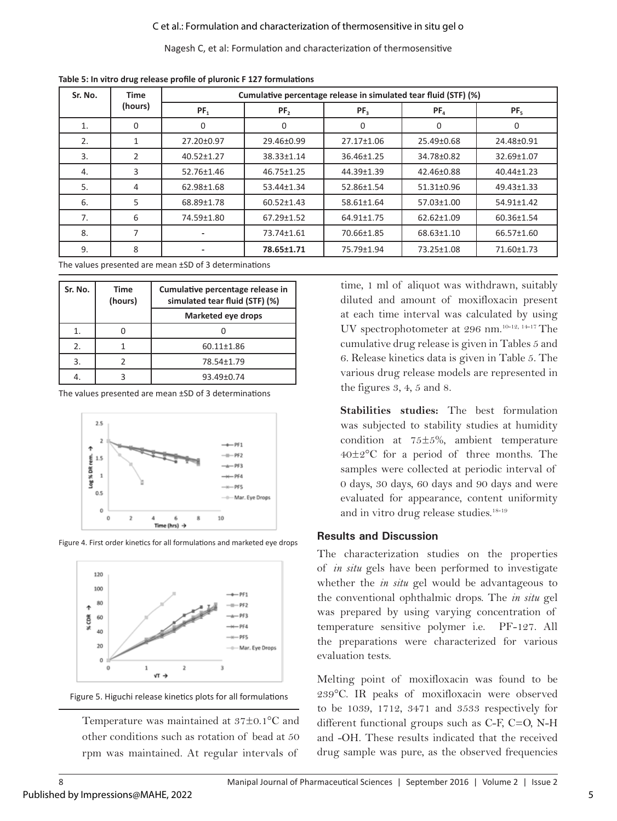Nagesh C, et al: Formulation and characterization of thermosensitive

| Sr. No. | <b>Time</b>    | Cumulative percentage release in simulated tear fluid (STF) (%) |                  |                 |            |            |  |  |
|---------|----------------|-----------------------------------------------------------------|------------------|-----------------|------------|------------|--|--|
|         | (hours)        | $PF_1$                                                          | PF,              | PF <sub>3</sub> | $PF_a$     | $PF_{5}$   |  |  |
| 1.      | $\Omega$       | $\Omega$                                                        | $\Omega$         | 0               | 0          | $\Omega$   |  |  |
| 2.      |                | 27.20±0.97                                                      | 29.46±0.99       | 27.17±1.06      | 25.49±0.68 | 24.48±0.91 |  |  |
| 3.      | 2              | 40.52±1.27                                                      | 38.33±1.14       | 36.46±1.25      | 34.78±0.82 | 32.69±1.07 |  |  |
| 4.      | 3              | 52.76±1.46                                                      | 46.75±1.25       | 44.39±1.39      | 42.46±0.88 | 40.44±1.23 |  |  |
| 5.      | 4              | 62.98±1.68                                                      | 53.44±1.34       | 52.86±1.54      | 51.31±0.96 | 49.43±1.33 |  |  |
| 6.      | 5              | 68.89±1.78                                                      | $60.52 \pm 1.43$ | 58.61±1.64      | 57.03±1.00 | 54.91±1.42 |  |  |
| 7.      | 6              | 74.59±1.80                                                      | 67.29±1.52       | 64.91±1.75      | 62.62±1.09 | 60.36±1.54 |  |  |
| 8.      | $\overline{7}$ |                                                                 | 73.74±1.61       | 70.66±1.85      | 68.63±1.10 | 66.57±1.60 |  |  |
| 9.      | 8              |                                                                 | 78.65±1.71       | 75.79±1.94      | 73.25±1.08 | 71.60±1.73 |  |  |

**Table 5: In vitro drug release profile of pluronic F 127 formulations**

The values presented are mean ±SD of 3 determinations

| Sr. No. | <b>Time</b><br>(hours) | Cumulative percentage release in<br>simulated tear fluid (STF) (%) |  |  |  |
|---------|------------------------|--------------------------------------------------------------------|--|--|--|
|         |                        | <b>Marketed eye drops</b>                                          |  |  |  |
| 1.      |                        |                                                                    |  |  |  |
| 2.      |                        | 60.11±1.86                                                         |  |  |  |
| 3.      |                        | 78.54±1.79                                                         |  |  |  |
|         |                        | 93.49±0.74                                                         |  |  |  |

The values presented are mean ±SD of 3 determinations









Temperature was maintained at 37±0.1°C and other conditions such as rotation of bead at 50 rpm was maintained. At regular intervals of

time, 1 ml of aliquot was withdrawn, suitably diluted and amount of moxifloxacin present at each time interval was calculated by using UV spectrophotometer at 296 nm.10-12, 14-17 The cumulative drug release is given in Tables 5 and 6. Release kinetics data is given in Table 5. The various drug release models are represented in the figures 3, 4, 5 and 8.

**Stabilities studies:** The best formulation was subjected to stability studies at humidity condition at 75±5%, ambient temperature 40±2°C for a period of three months. The samples were collected at periodic interval of 0 days, 30 days, 60 days and 90 days and were evaluated for appearance, content uniformity and in vitro drug release studies.<sup>18-19</sup>

#### **Results and Discussion**

The characterization studies on the properties of *in situ* gels have been performed to investigate whether the *in situ* gel would be advantageous to the conventional ophthalmic drops. The *in situ* gel was prepared by using varying concentration of temperature sensitive polymer i.e. PF-127. All the preparations were characterized for various evaluation tests.

Melting point of moxifloxacin was found to be 239°C. IR peaks of moxifloxacin were observed to be 1039, 1712, 3471 and 3533 respectively for different functional groups such as C-F, C=O, N-H and -OH. These results indicated that the received drug sample was pure, as the observed frequencies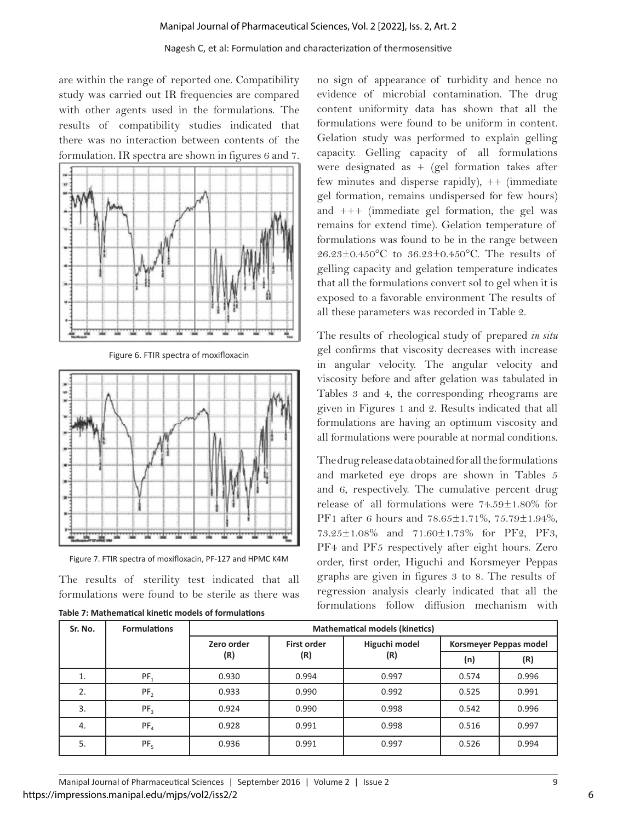#### Nagesh C, et al: Formulation and characterization of thermosensitive

are within the range of reported one. Compatibility study was carried out IR frequencies are compared with other agents used in the formulations. The results of compatibility studies indicated that there was no interaction between contents of the formulation. IR spectra are shown in figures 6 and 7.



Figure 6. FTIR spectra of moxifloxacin





The results of sterility test indicated that all formulations were found to be sterile as there was

| Table 7: Mathematical kinetic models of formulations |  |  |  |
|------------------------------------------------------|--|--|--|
|                                                      |  |  |  |

no sign of appearance of turbidity and hence no evidence of microbial contamination. The drug content uniformity data has shown that all the formulations were found to be uniform in content. Gelation study was performed to explain gelling capacity. Gelling capacity of all formulations were designated as  $+$  (gel formation takes after few minutes and disperse rapidly),  $++$  (immediate gel formation, remains undispersed for few hours) and +++ (immediate gel formation, the gel was remains for extend time). Gelation temperature of formulations was found to be in the range between 26.23±0.450°C to 36.23±0.450°C. The results of gelling capacity and gelation temperature indicates that all the formulations convert sol to gel when it is exposed to a favorable environment The results of all these parameters was recorded in Table 2.

The results of rheological study of prepared *in situ* gel confirms that viscosity decreases with increase in angular velocity. The angular velocity and viscosity before and after gelation was tabulated in Tables 3 and 4, the corresponding rheograms are given in Figures 1 and 2. Results indicated that all formulations are having an optimum viscosity and all formulations were pourable at normal conditions.

The drug release data obtained for all the formulations and marketed eye drops are shown in Tables 5 and 6, respectively. The cumulative percent drug release of all formulations were 74.59±1.80% for PF1 after 6 hours and 78.65±1.71%, 75.79±1.94%, 73.25±1.08% and 71.60±1.73% for PF2, PF3, PF4 and PF5 respectively after eight hours. Zero order, first order, Higuchi and Korsmeyer Peppas graphs are given in figures 3 to 8. The results of regression analysis clearly indicated that all the formulations follow diffusion mechanism with

| Sr. No. | <b>Formulations</b> | <b>Mathematical models (kinetics)</b> |                                     |       |                        |       |  |
|---------|---------------------|---------------------------------------|-------------------------------------|-------|------------------------|-------|--|
|         |                     | Zero order                            | Higuchi model<br><b>First order</b> |       | Korsmeyer Peppas model |       |  |
|         |                     | (R)                                   | (R)                                 | (R)   | (n)                    | (R)   |  |
| ⊥.      | $PF_1$              | 0.930                                 | 0.994                               | 0.997 | 0.574                  | 0.996 |  |
| 2.      | PF <sub>2</sub>     | 0.933                                 | 0.990                               | 0.992 | 0.525                  | 0.991 |  |
| 3.      | PF <sub>3</sub>     | 0.924                                 | 0.990                               | 0.998 | 0.542                  | 0.996 |  |
| 4.      | PF <sub>A</sub>     | 0.928                                 | 0.991                               | 0.998 | 0.516                  | 0.997 |  |
| 5.      | PF <sub>5</sub>     | 0.936                                 | 0.991                               | 0.997 | 0.526                  | 0.994 |  |

Manipal Journal of Pharmaceutical Sciences | September 2016 | Volume 2 | Issue 2 9 https://impressions.manipal.edu/mjps/vol2/iss2/2

6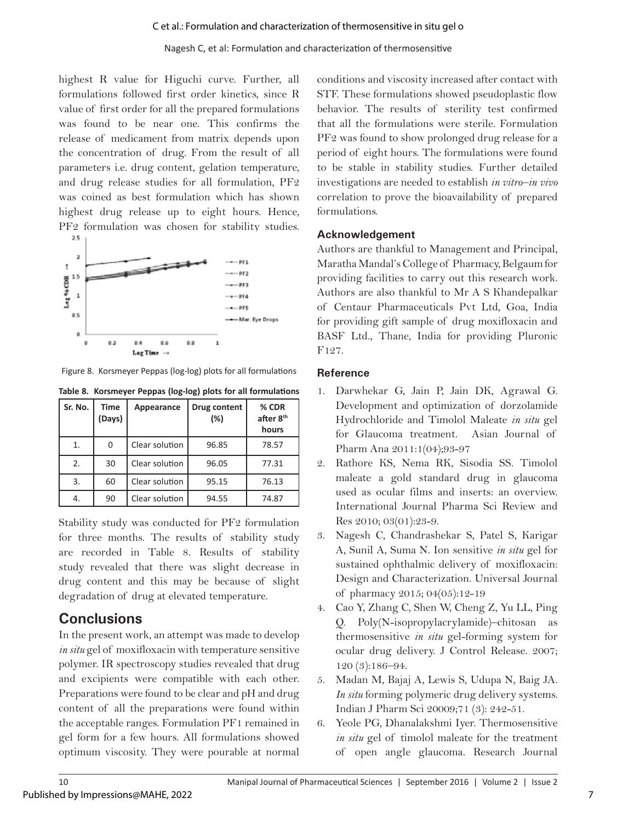highest R value for Higuchi curve. Further, all formulations followed first order kinetics, since R value of first order for all the prepared formulations was found to be near one. This confirms the release of medicament from matrix depends upon the concentration of drug. From the result of all parameters i.e. drug content, gelation temperature, and drug release studies for all formulation, PF2 was coined as best formulation which has shown highest drug release up to eight hours. Hence, PF2 formulation was chosen for stability studies.



Figure 8. Korsmeyer Peppas (log-log) plots for all formulations

| Table 8. Korsmeyer Peppas (log-log) plots for all formulations |  |  |  |  |  |  |  |  |
|----------------------------------------------------------------|--|--|--|--|--|--|--|--|
|----------------------------------------------------------------|--|--|--|--|--|--|--|--|

| Sr. No. | <b>Time</b><br>(Days) | Appearance     | Drug content<br>(%) | % CDR<br>after 8 <sup>th</sup><br>hours |
|---------|-----------------------|----------------|---------------------|-----------------------------------------|
| 1.      | 0                     | Clear solution | 96.85               | 78.57                                   |
| 2.      | 30                    | Clear solution | 96.05               | 77.31                                   |
| 3.      | 60                    | Clear solution | 95.15               | 76.13                                   |
| 4.      | 90                    | Clear solution | 94.55               | 74.87                                   |

Stability study was conducted for PF2 formulation for three months. The results of stability study are recorded in Table 8. Results of stability study revealed that there was slight decrease in drug content and this may be because of slight degradation of drug at elevated temperature.

# **Conclusions**

In the present work, an attempt was made to develop *in situ* gel of moxifloxacin with temperature sensitive polymer. IR spectroscopy studies revealed that drug and excipients were compatible with each other. Preparations were found to be clear and pH and drug content of all the preparations were found within the acceptable ranges. Formulation PF1 remained in gel form for a few hours. All formulations showed optimum viscosity. They were pourable at normal

conditions and viscosity increased after contact with STF. These formulations showed pseudoplastic flow behavior. The results of sterility test confirmed that all the formulations were sterile. Formulation PF2 was found to show prolonged drug release for a period of eight hours. The formulations were found to be stable in stability studies. Further detailed investigations are needed to establish *in vitro–in vivo* correlation to prove the bioavailability of prepared formulations.

### **Acknowledgement**

Authors are thankful to Management and Principal, Maratha Mandal's College of Pharmacy, Belgaum for providing facilities to carry out this research work. Authors are also thankful to Mr A S Khandepalkar of Centaur Pharmaceuticals Pvt Ltd, Goa, India for providing gift sample of drug moxifloxacin and BASF Ltd., Thane, India for providing Pluronic F127.

### **Reference**

- 1. Darwhekar G, Jain P, Jain DK, Agrawal G. Development and optimization of dorzolamide Hydrochloride and Timolol Maleate *in situ* gel for Glaucoma treatment. Asian Journal of Pharm Ana 2011:1(04);93-97
- 2. Rathore KS, Nema RK, Sisodia SS. Timolol maleate a gold standard drug in glaucoma used as ocular films and inserts: an overview. International Journal Pharma Sci Review and Res 2010; 03(01):23-9.
- 3. Nagesh C, Chandrashekar S, Patel S, Karigar A, Sunil A, Suma N. Ion sensitive *in situ* gel for sustained ophthalmic delivery of moxifloxacin: Design and Characterization. Universal Journal of pharmacy 2015; 04(05):12-19
- 4. Cao Y, Zhang C, Shen W, Cheng Z, Yu LL, Ping Q. Poly(N-isopropylacrylamide)–chitosan as thermosensitive *in situ* gel-forming system for ocular drug delivery. J Control Release. 2007; 120 (3):186–94.
- 5. Madan M, Bajaj A, Lewis S, Udupa N, Baig JA. *In situ* forming polymeric drug delivery systems. Indian J Pharm Sci 20009;71 (3): 242-51.
- 6. Yeole PG, Dhanalakshmi Iyer. Thermosensitive *in situ* gel of timolol maleate for the treatment of open angle glaucoma. Research Journal